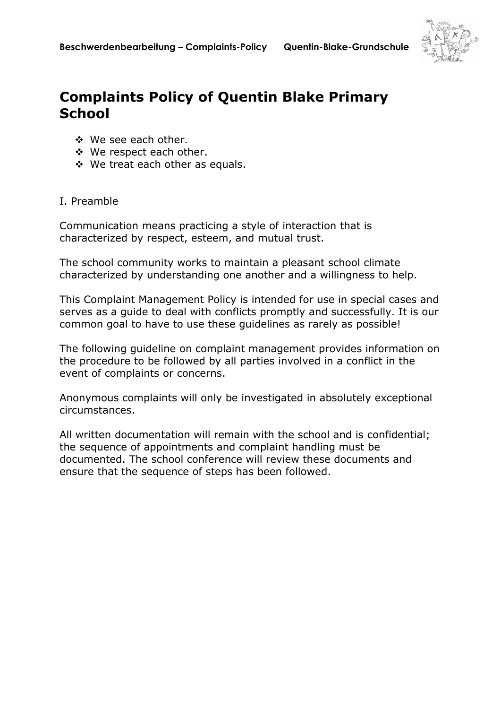

## **Complaints Policy of Quentin Blake Primary School**

- **☆** We see each other.
- ◆ We respect each other.
- ◆ We treat each other as equals.

## I. Preamble

Communication means practicing a style of interaction that is characterized by respect, esteem, and mutual trust.

The school community works to maintain a pleasant school climate characterized by understanding one another and a willingness to help.

This Complaint Management Policy is intended for use in special cases and serves as a guide to deal with conflicts promptly and successfully. It is our common goal to have to use these guidelines as rarely as possible!

The following guideline on complaint management provides information on the procedure to be followed by all parties involved in a conflict in the event of complaints or concerns.

Anonymous complaints will only be investigated in absolutely exceptional circumstances.

All written documentation will remain with the school and is confidential; the sequence of appointments and complaint handling must be documented. The school conference will review these documents and ensure that the sequence of steps has been followed.